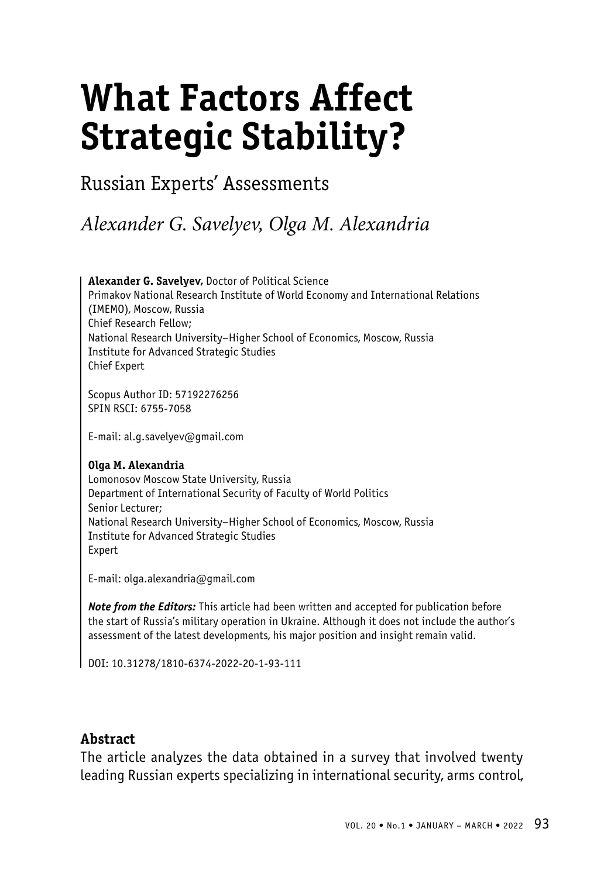# **What Factors Affect Strategic Stability?**

# Russian Experts' Assessments

# *Alexander G. Savelyev, Olga M. Alexandria*

**Alexander G. Savelyev,** Doctor of Political Science Primakov National Research Institute of World Economy and International Relations (IMEMO), Moscow, Russia Chief Research Fellow; National Research University–Higher School of Economics, Moscow, Russia Institute for Advanced Strategic Studies Chief Expert

Scopus Author ID: 57192276256 SPIN RSCI: 6755-7058

E-mail: al.g.savelyev@gmail.com

#### **Olga M. Alexandria**

Lomonosov Moscow State University, Russia Department of International Security of Faculty of World Politics Senior Lecturer; National Research University–Higher School of Economics, Moscow, Russia Institute for Advanced Strategic Studies Expert

E-mail: olga.alexandria@gmail.com

*Note from the Editors:* This article had been written and accepted for publication before the start of Russia's military operation in Ukraine. Although it does not include the author's assessment of the latest developments, his major position and insight remain valid.

DOI: 10.31278/1810-6374-2022-20-1-93-111

## **Abstract**

The article analyzes the data obtained in a survey that involved twenty leading Russian experts specializing in international security, arms control,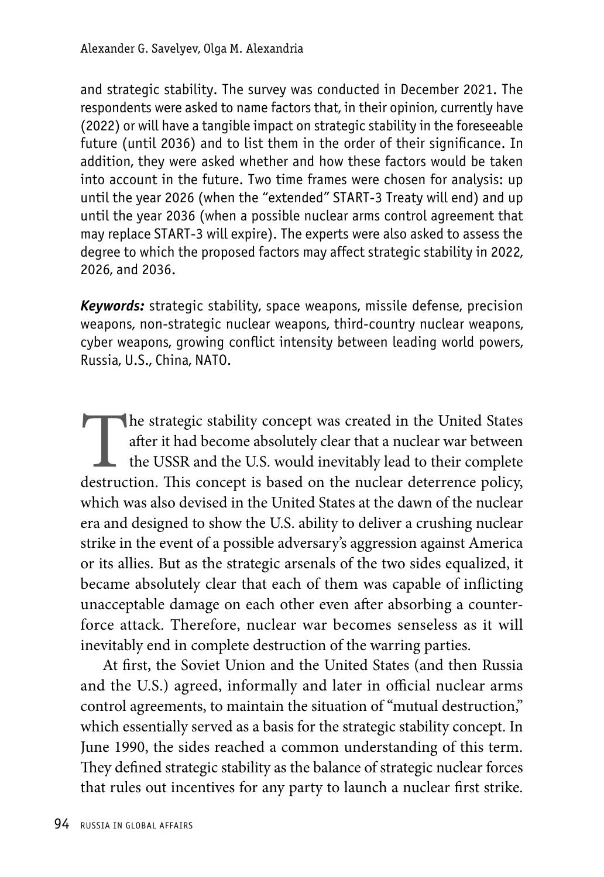and strategic stability. The survey was conducted in December 2021. The respondents were asked to name factors that, in their opinion, currently have (2022) or will have a tangible impact on strategic stability in the foreseeable future (until 2036) and to list them in the order of their significance. In addition, they were asked whether and how these factors would be taken into account in the future. Two time frames were chosen for analysis: up until the year 2026 (when the "extended" START-3 Treaty will end) and up until the year 2036 (when a possible nuclear arms control agreement that may replace START-3 will expire). The experts were also asked to assess the degree to which the proposed factors may affect strategic stability in 2022, 2026, and 2036.

*Keywords:* strategic stability, space weapons, missile defense, precision weapons, non-strategic nuclear weapons, third-country nuclear weapons, cyber weapons, growing conflict intensity between leading world powers, Russia, U.S., China, NATO.

The strategic stability concept was created in the United States after it had become absolutely clear that a nuclear war between the USSR and the U.S. would inevitably lead to their complete destruction. This concept is based on the nuclear deterrence policy, which was also devised in the United States at the dawn of the nuclear era and designed to show the U.S. ability to deliver a crushing nuclear strike in the event of a possible adversary's aggression against America or its allies. But as the strategic arsenals of the two sides equalized, it became absolutely clear that each of them was capable of inflicting unacceptable damage on each other even after absorbing a counterforce attack. Therefore, nuclear war becomes senseless as it will inevitably end in complete destruction of the warring parties.

At first, the Soviet Union and the United States (and then Russia and the U.S.) agreed, informally and later in official nuclear arms control agreements, to maintain the situation of "mutual destruction," which essentially served as a basis for the strategic stability concept. In June 1990, the sides reached a common understanding of this term. They defined strategic stability as the balance of strategic nuclear forces that rules out incentives for any party to launch a nuclear first strike.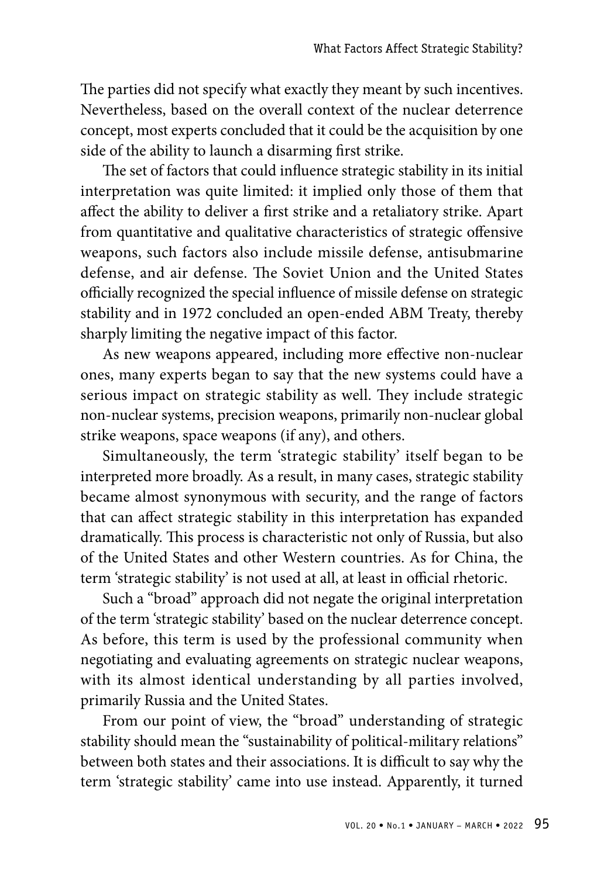The parties did not specify what exactly they meant by such incentives. Nevertheless, based on the overall context of the nuclear deterrence concept, most experts concluded that it could be the acquisition by one side of the ability to launch a disarming first strike.

The set of factors that could influence strategic stability in its initial interpretation was quite limited: it implied only those of them that affect the ability to deliver a first strike and a retaliatory strike. Apart from quantitative and qualitative characteristics of strategic offensive weapons, such factors also include missile defense, antisubmarine defense, and air defense. The Soviet Union and the United States officially recognized the special influence of missile defense on strategic stability and in 1972 concluded an open-ended ABM Treaty, thereby sharply limiting the negative impact of this factor.

As new weapons appeared, including more effective non-nuclear ones, many experts began to say that the new systems could have a serious impact on strategic stability as well. They include strategic non-nuclear systems, precision weapons, primarily non-nuclear global strike weapons, space weapons (if any), and others.

Simultaneously, the term 'strategic stability' itself began to be interpreted more broadly. As a result, in many cases, strategic stability became almost synonymous with security, and the range of factors that can affect strategic stability in this interpretation has expanded dramatically. This process is characteristic not only of Russia, but also of the United States and other Western countries. As for China, the term 'strategic stability' is not used at all, at least in official rhetoric.

Such a "broad" approach did not negate the original interpretation of the term 'strategic stability' based on the nuclear deterrence concept. As before, this term is used by the professional community when negotiating and evaluating agreements on strategic nuclear weapons, with its almost identical understanding by all parties involved, primarily Russia and the United States.

From our point of view, the "broad" understanding of strategic stability should mean the "sustainability of political-military relations" between both states and their associations. It is difficult to say why the term 'strategic stability' came into use instead. Apparently, it turned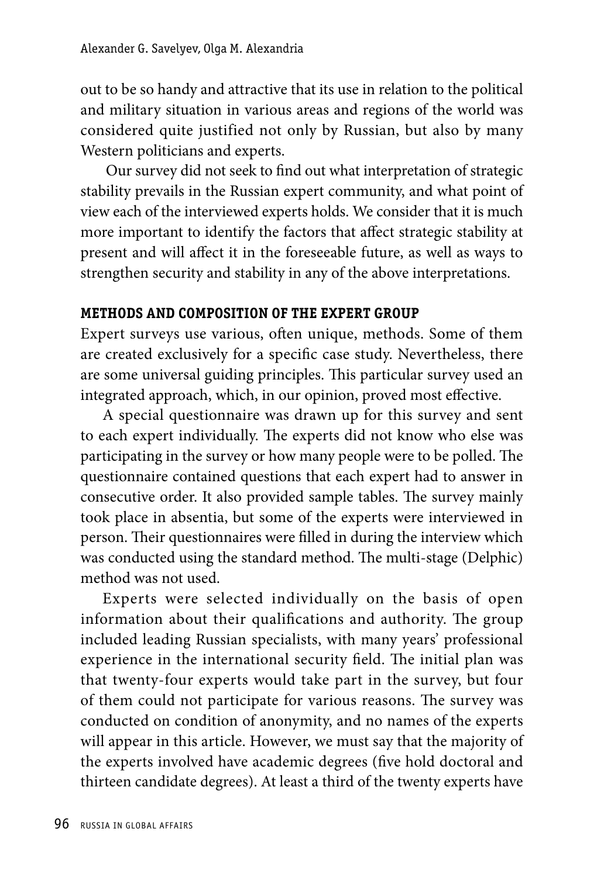out to be so handy and attractive that its use in relation to the political and military situation in various areas and regions of the world was considered quite justified not only by Russian, but also by many Western politicians and experts.

 Our survey did not seek to find out what interpretation of strategic stability prevails in the Russian expert community, and what point of view each of the interviewed experts holds. We consider that it is much more important to identify the factors that affect strategic stability at present and will affect it in the foreseeable future, as well as ways to strengthen security and stability in any of the above interpretations.

# **METHODS AND COMPOSITION OF THE EXPERT GROUP**

Expert surveys use various, often unique, methods. Some of them are created exclusively for a specific case study. Nevertheless, there are some universal guiding principles. This particular survey used an integrated approach, which, in our opinion, proved most effective.

A special questionnaire was drawn up for this survey and sent to each expert individually. The experts did not know who else was participating in the survey or how many people were to be polled. The questionnaire contained questions that each expert had to answer in consecutive order. It also provided sample tables. The survey mainly took place in absentia, but some of the experts were interviewed in person. Their questionnaires were filled in during the interview which was conducted using the standard method. The multi-stage (Delphic) method was not used.

Experts were selected individually on the basis of open information about their qualifications and authority. The group included leading Russian specialists, with many years' professional experience in the international security field. The initial plan was that twenty-four experts would take part in the survey, but four of them could not participate for various reasons. The survey was conducted on condition of anonymity, and no names of the experts will appear in this article. However, we must say that the majority of the experts involved have academic degrees (five hold doctoral and thirteen candidate degrees). At least a third of the twenty experts have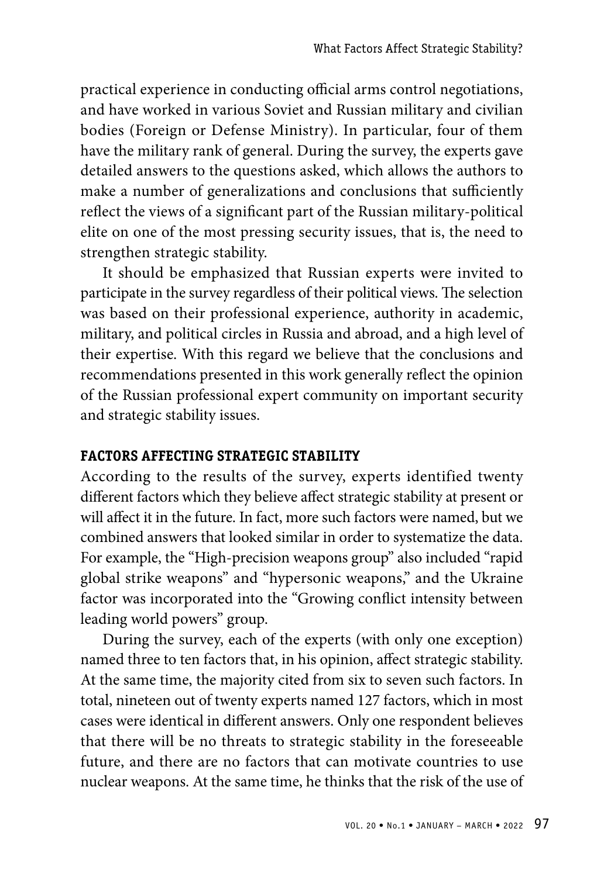practical experience in conducting official arms control negotiations, and have worked in various Soviet and Russian military and civilian bodies (Foreign or Defense Ministry). In particular, four of them have the military rank of general. During the survey, the experts gave detailed answers to the questions asked, which allows the authors to make a number of generalizations and conclusions that sufficiently reflect the views of a significant part of the Russian military-political elite on one of the most pressing security issues, that is, the need to strengthen strategic stability.

It should be emphasized that Russian experts were invited to participate in the survey regardless of their political views. The selection was based on their professional experience, authority in academic, military, and political circles in Russia and abroad, and a high level of their expertise. With this regard we believe that the conclusions and recommendations presented in this work generally reflect the opinion of the Russian professional expert community on important security and strategic stability issues.

## **FACTORS AFFECTING STRATEGIC STABILITY**

According to the results of the survey, experts identified twenty different factors which they believe affect strategic stability at present or will affect it in the future. In fact, more such factors were named, but we combined answers that looked similar in order to systematize the data. For example, the "High-precision weapons group" also included "rapid global strike weapons" and "hypersonic weapons," and the Ukraine factor was incorporated into the "Growing conflict intensity between leading world powers" group.

During the survey, each of the experts (with only one exception) named three to ten factors that, in his opinion, affect strategic stability. At the same time, the majority cited from six to seven such factors. In total, nineteen out of twenty experts named 127 factors, which in most cases were identical in different answers. Only one respondent believes that there will be no threats to strategic stability in the foreseeable future, and there are no factors that can motivate countries to use nuclear weapons. At the same time, he thinks that the risk of the use of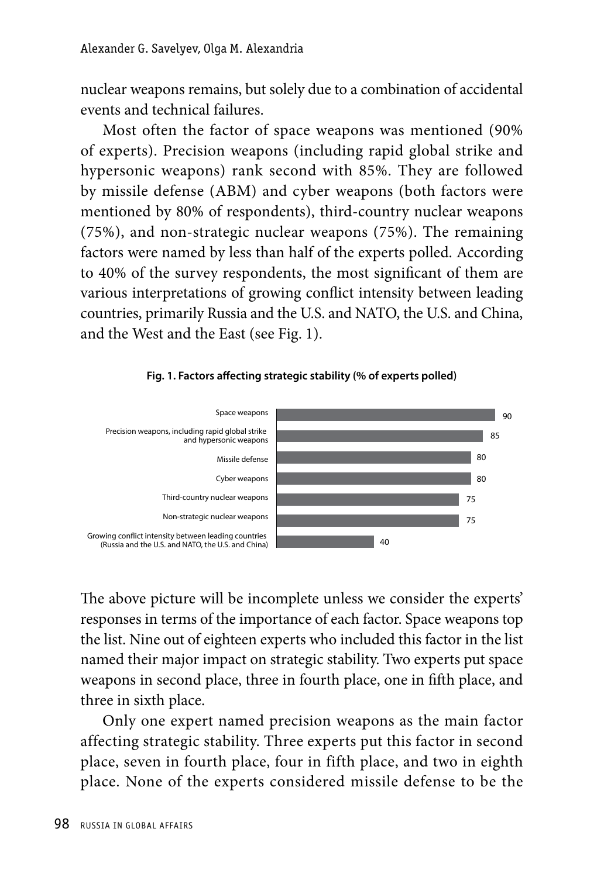nuclear weapons remains, but solely due to a combination of accidental events and technical failures.

Most often the factor of space weapons was mentioned (90% of experts). Precision weapons (including rapid global strike and hypersonic weapons) rank second with 85%. They are followed by missile defense (ABM) and cyber weapons (both factors were mentioned by 80% of respondents), third-country nuclear weapons (75%), and non-strategic nuclear weapons (75%). The remaining factors were named by less than half of the experts polled. According to 40% of the survey respondents, the most significant of them are various interpretations of growing conflict intensity between leading countries, primarily Russia and the U.S. and NATO, the U.S. and China, and the West and the East (see Fig. 1).





The above picture will be incomplete unless we consider the experts' responses in terms of the importance of each factor. Space weapons top the list. Nine out of eighteen experts who included this factor in the list named their major impact on strategic stability. Two experts put space weapons in second place, three in fourth place, one in fifth place, and three in sixth place.

Only one expert named precision weapons as the main factor affecting strategic stability. Three experts put this factor in second place, seven in fourth place, four in fifth place, and two in eighth place. None of the experts considered missile defense to be the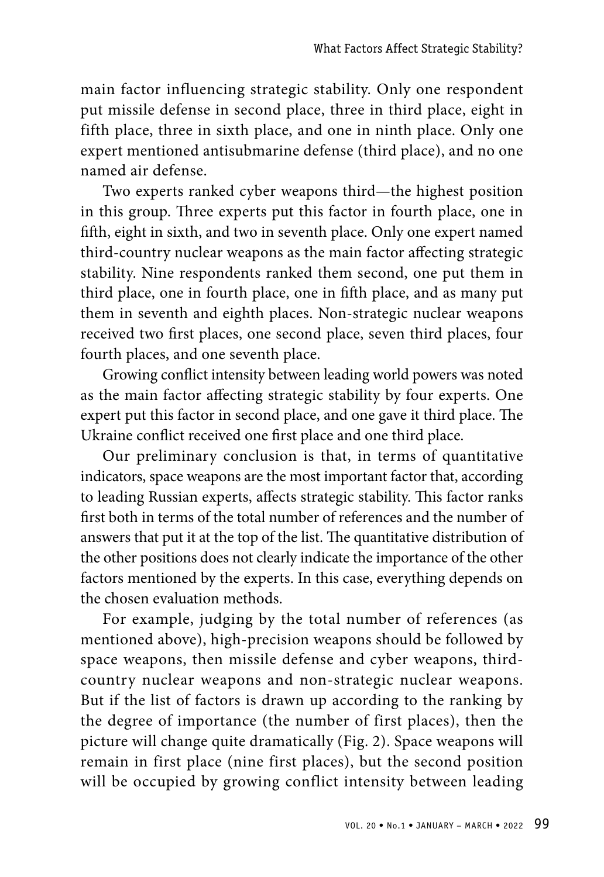main factor influencing strategic stability. Only one respondent put missile defense in second place, three in third place, eight in fifth place, three in sixth place, and one in ninth place. Only one expert mentioned antisubmarine defense (third place), and no one named air defense.

Two experts ranked cyber weapons third—the highest position in this group. Three experts put this factor in fourth place, one in fifth, eight in sixth, and two in seventh place. Only one expert named third-country nuclear weapons as the main factor affecting strategic stability. Nine respondents ranked them second, one put them in third place, one in fourth place, one in fifth place, and as many put them in seventh and eighth places. Non-strategic nuclear weapons received two first places, one second place, seven third places, four fourth places, and one seventh place.

Growing conflict intensity between leading world powers was noted as the main factor affecting strategic stability by four experts. One expert put this factor in second place, and one gave it third place. The Ukraine conflict received one first place and one third place.

Our preliminary conclusion is that, in terms of quantitative indicators, space weapons are the most important factor that, according to leading Russian experts, affects strategic stability. This factor ranks first both in terms of the total number of references and the number of answers that put it at the top of the list. The quantitative distribution of the other positions does not clearly indicate the importance of the other factors mentioned by the experts. In this case, everything depends on the chosen evaluation methods.

For example, judging by the total number of references (as mentioned above), high-precision weapons should be followed by space weapons, then missile defense and cyber weapons, thirdcountry nuclear weapons and non-strategic nuclear weapons. But if the list of factors is drawn up according to the ranking by the degree of importance (the number of first places), then the picture will change quite dramatically (Fig. 2). Space weapons will remain in first place (nine first places), but the second position will be occupied by growing conflict intensity between leading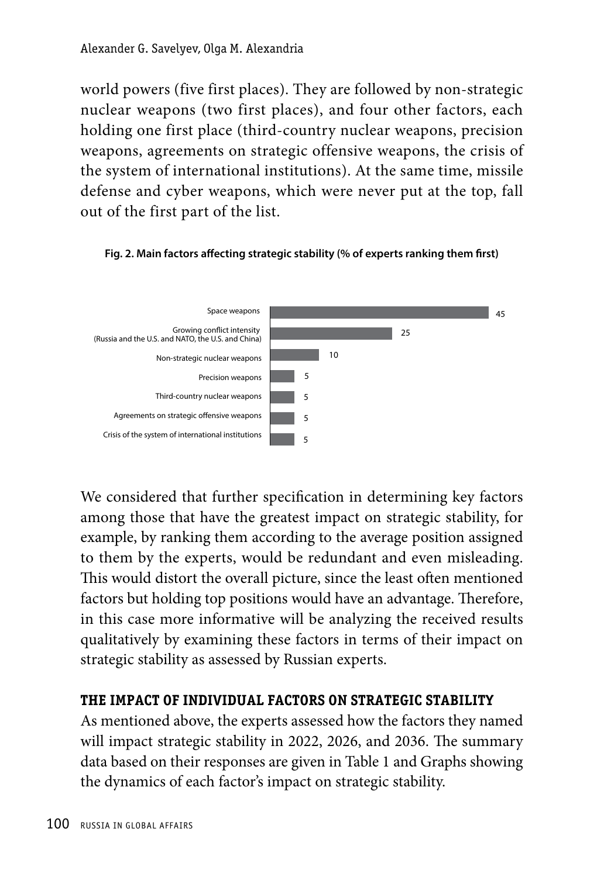world powers (five first places). They are followed by non-strategic nuclear weapons (two first places), and four other factors, each holding one first place (third-country nuclear weapons, precision weapons, agreements on strategic offensive weapons, the crisis of the system of international institutions). At the same time, missile defense and cyber weapons, which were never put at the top, fall out of the first part of the list.





We considered that further specification in determining key factors among those that have the greatest impact on strategic stability, for example, by ranking them according to the average position assigned to them by the experts, would be redundant and even misleading. This would distort the overall picture, since the least often mentioned factors but holding top positions would have an advantage. Therefore, in this case more informative will be analyzing the received results qualitatively by examining these factors in terms of their impact on strategic stability as assessed by Russian experts.

# **THE IMPACT OF INDIVIDUAL FACTORS ON STRATEGIC STABILITY**

As mentioned above, the experts assessed how the factors they named will impact strategic stability in 2022, 2026, and 2036. The summary data based on their responses are given in Table 1 and Graphs showing the dynamics of each factor's impact on strategic stability.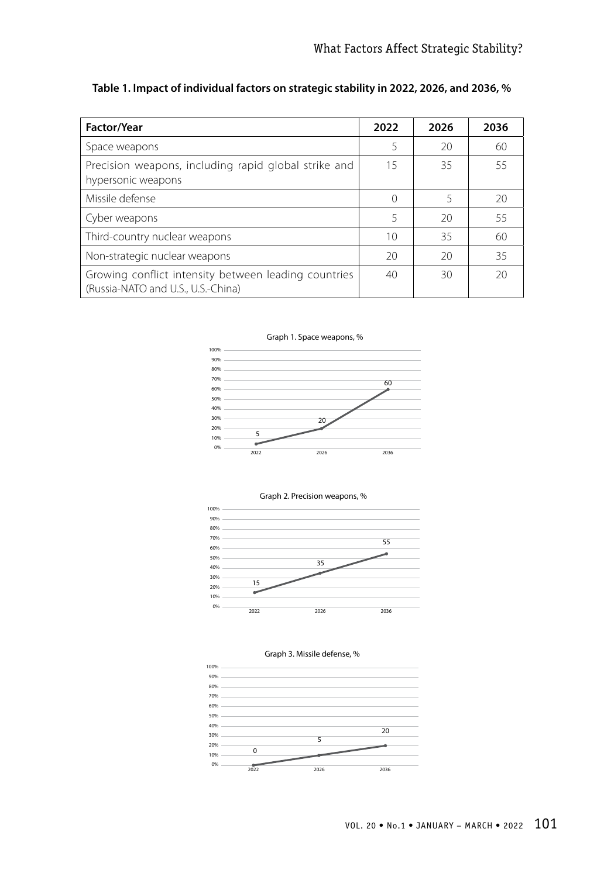| Factor/Year                                                                                | 2022 | 2026 | 2036 |
|--------------------------------------------------------------------------------------------|------|------|------|
| Space weapons                                                                              |      | 20   | 60   |
| Precision weapons, including rapid global strike and<br>hypersonic weapons                 | 15   | 35   | 55   |
| Missile defense                                                                            |      | 5    | 20   |
| Cyber weapons                                                                              | 5    | 20   | 55   |
| Third-country nuclear weapons                                                              | 10   | 35   | 60   |
| Non-strategic nuclear weapons                                                              | 20   | 20   | 35   |
| Growing conflict intensity between leading countries<br>(Russia-NATO and U.S., U.S.-China) | 40   | 30   | 20   |

**Table 1. Impact of individual factors on strategic stability in 2022, 2026, and 2036, %**









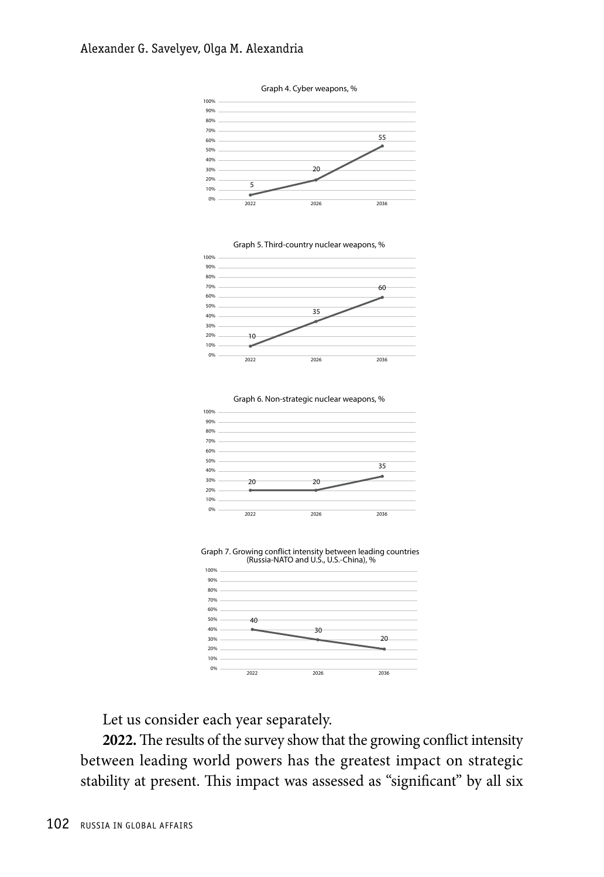#### Alexander G. Savelyev, Olga M. Alexandria











Graph 7. Growing conflict intensity between leading countries<br>(Russia-NATO and U.S., U.S.-China), %



Let us consider each year separately.

**2022.** The results of the survey show that the growing conflict intensity between leading world powers has the greatest impact on strategic stability at present. This impact was assessed as "significant" by all six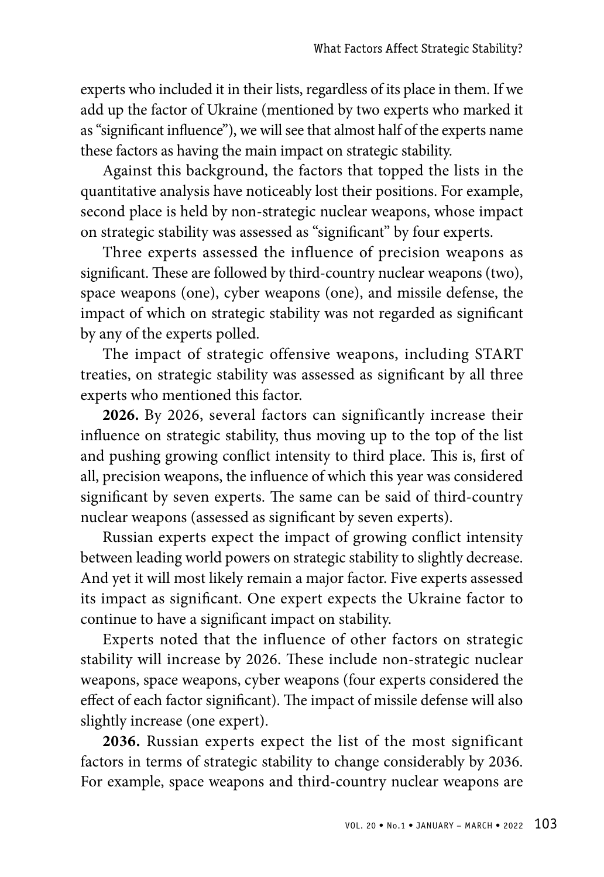experts who included it in their lists, regardless of its place in them. If we add up the factor of Ukraine (mentioned by two experts who marked it as "significant influence"), we will see that almost half of the experts name these factors as having the main impact on strategic stability.

Against this background, the factors that topped the lists in the quantitative analysis have noticeably lost their positions. For example, second place is held by non-strategic nuclear weapons, whose impact on strategic stability was assessed as "significant" by four experts.

Three experts assessed the influence of precision weapons as significant. These are followed by third-country nuclear weapons (two), space weapons (one), cyber weapons (one), and missile defense, the impact of which on strategic stability was not regarded as significant by any of the experts polled.

The impact of strategic offensive weapons, including START treaties, on strategic stability was assessed as significant by all three experts who mentioned this factor.

**2026.** By 2026, several factors can significantly increase their influence on strategic stability, thus moving up to the top of the list and pushing growing conflict intensity to third place. This is, first of all, precision weapons, the influence of which this year was considered significant by seven experts. The same can be said of third-country nuclear weapons (assessed as significant by seven experts).

Russian experts expect the impact of growing conflict intensity between leading world powers on strategic stability to slightly decrease. And yet it will most likely remain a major factor. Five experts assessed its impact as significant. One expert expects the Ukraine factor to continue to have a significant impact on stability.

Experts noted that the influence of other factors on strategic stability will increase by 2026. These include non-strategic nuclear weapons, space weapons, cyber weapons (four experts considered the effect of each factor significant). The impact of missile defense will also slightly increase (one expert).

**2036.** Russian experts expect the list of the most significant factors in terms of strategic stability to change considerably by 2036. For example, space weapons and third-country nuclear weapons are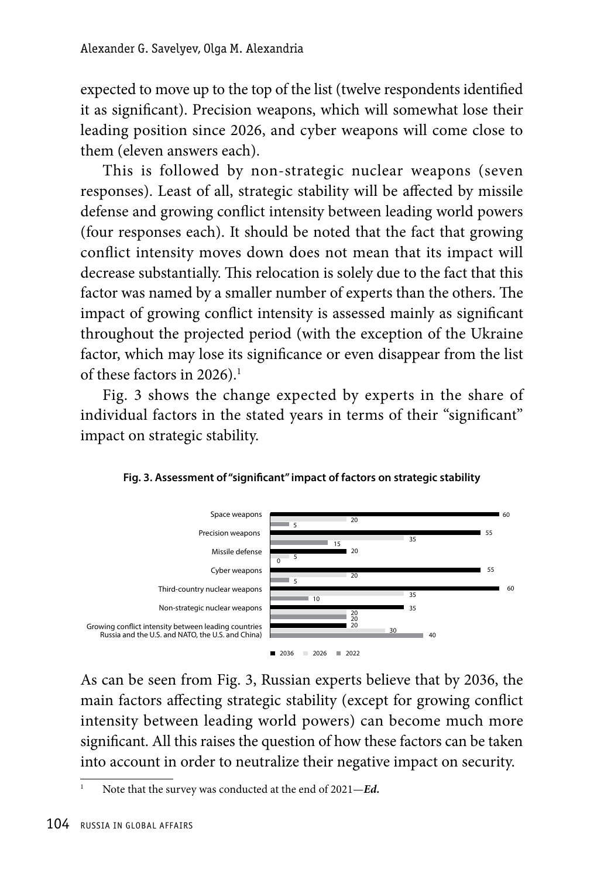expected to move up to the top of the list (twelve respondents identified it as significant). Precision weapons, which will somewhat lose their leading position since 2026, and cyber weapons will come close to them (eleven answers each).

This is followed by non-strategic nuclear weapons (seven responses). Least of all, strategic stability will be affected by missile defense and growing conflict intensity between leading world powers (four responses each). It should be noted that the fact that growing conflict intensity moves down does not mean that its impact will decrease substantially. This relocation is solely due to the fact that this factor was named by a smaller number of experts than the others. The impact of growing conflict intensity is assessed mainly as significant throughout the projected period (with the exception of the Ukraine factor, which may lose its significance or even disappear from the list of these factors in 2026).<sup>1</sup>

Fig. 3 shows the change expected by experts in the share of individual factors in the stated years in terms of their "significant" impact on strategic stability.





As can be seen from Fig. 3, Russian experts believe that by 2036, the main factors affecting strategic stability (except for growing conflict intensity between leading world powers) can become much more significant. All this raises the question of how these factors can be taken into account in order to neutralize their negative impact on security.

Note that the survey was conducted at the end of 2021-Ed.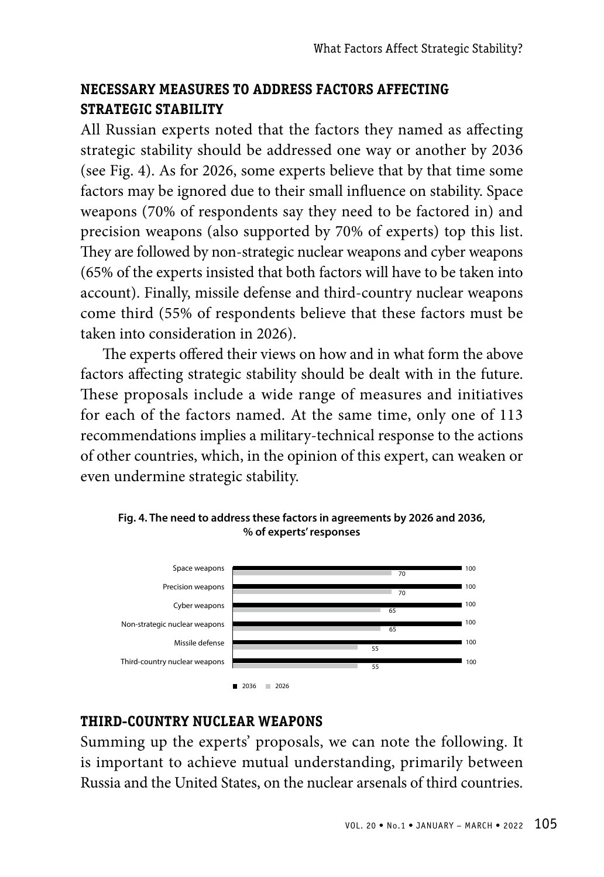# **NECESSARY MEASURES TO ADDRESS FACTORS AFFECTING STRATEGIC STABILITY**

All Russian experts noted that the factors they named as affecting strategic stability should be addressed one way or another by 2036 (see Fig. 4). As for 2026, some experts believe that by that time some factors may be ignored due to their small influence on stability. Space weapons (70% of respondents say they need to be factored in) and precision weapons (also supported by 70% of experts) top this list. They are followed by non-strategic nuclear weapons and cyber weapons (65% of the experts insisted that both factors will have to be taken into account). Finally, missile defense and third-country nuclear weapons come third (55% of respondents believe that these factors must be taken into consideration in 2026).

The experts offered their views on how and in what form the above factors affecting strategic stability should be dealt with in the future. These proposals include a wide range of measures and initiatives for each of the factors named. At the same time, only one of 113 recommendations implies a military-technical response to the actions of other countries, which, in the opinion of this expert, can weaken or even undermine strategic stability.



**Fig. 4. The need to address these factors in agreements by 2026 and 2036, % of experts' responses**

# **THIRD-COUNTRY NUCLEAR WEAPONS**

Summing up the experts' proposals, we can note the following. It is important to achieve mutual understanding, primarily between Russia and the United States, on the nuclear arsenals of third countries.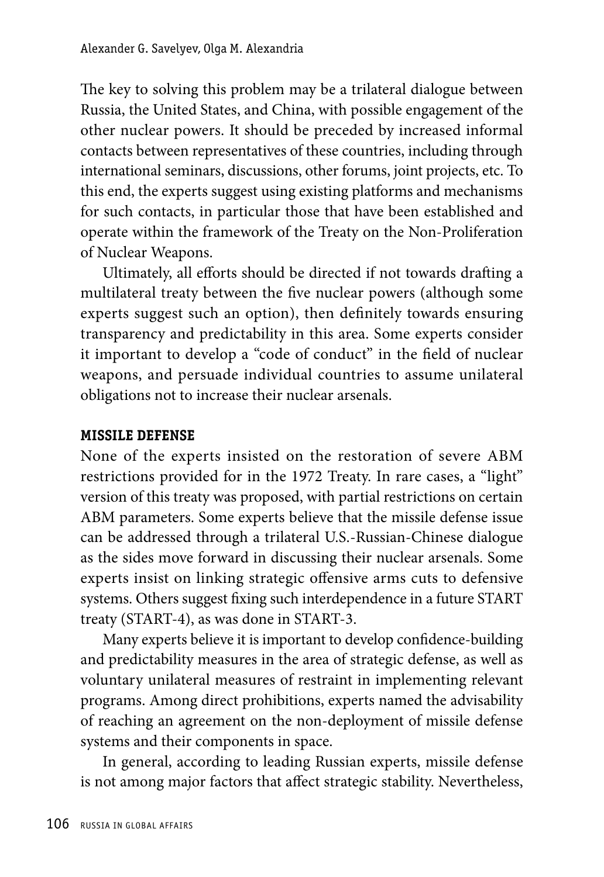The key to solving this problem may be a trilateral dialogue between Russia, the United States, and China, with possible engagement of the other nuclear powers. It should be preceded by increased informal contacts between representatives of these countries, including through international seminars, discussions, other forums, joint projects, etc. To this end, the experts suggest using existing platforms and mechanisms for such contacts, in particular those that have been established and operate within the framework of the Treaty on the Non-Proliferation of Nuclear Weapons.

Ultimately, all efforts should be directed if not towards drafting a multilateral treaty between the five nuclear powers (although some experts suggest such an option), then definitely towards ensuring transparency and predictability in this area. Some experts consider it important to develop a "code of conduct" in the field of nuclear weapons, and persuade individual countries to assume unilateral obligations not to increase their nuclear arsenals.

# **MISSILE DEFENSE**

None of the experts insisted on the restoration of severe ABM restrictions provided for in the 1972 Treaty. In rare cases, a "light" version of this treaty was proposed, with partial restrictions on certain ABM parameters. Some experts believe that the missile defense issue can be addressed through a trilateral U.S.-Russian-Chinese dialogue as the sides move forward in discussing their nuclear arsenals. Some experts insist on linking strategic offensive arms cuts to defensive systems. Others suggest fixing such interdependence in a future START treaty (START-4), as was done in START-3.

Many experts believe it is important to develop confidence-building and predictability measures in the area of strategic defense, as well as voluntary unilateral measures of restraint in implementing relevant programs. Among direct prohibitions, experts named the advisability of reaching an agreement on the non-deployment of missile defense systems and their components in space.

In general, according to leading Russian experts, missile defense is not among major factors that affect strategic stability. Nevertheless,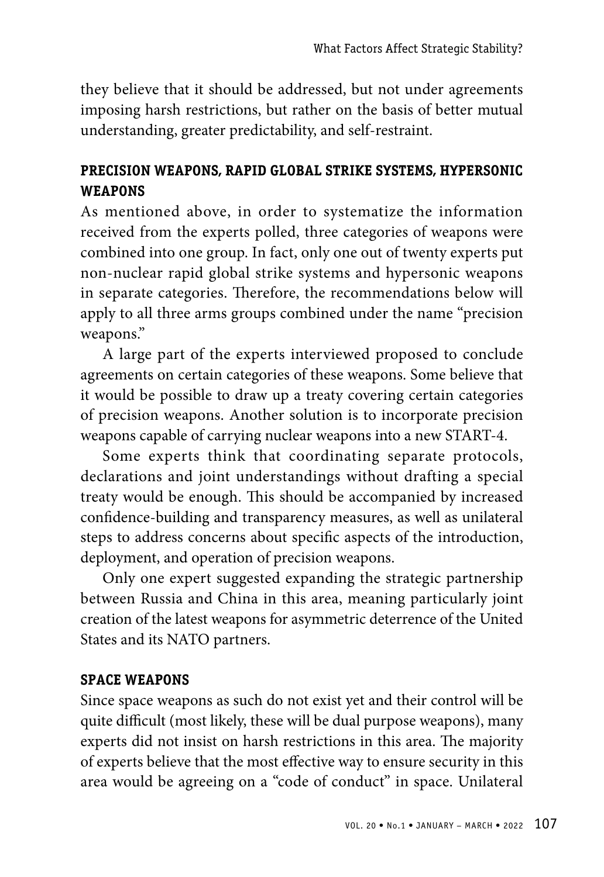they believe that it should be addressed, but not under agreements imposing harsh restrictions, but rather on the basis of better mutual understanding, greater predictability, and self-restraint.

# **PRECISION WEAPONS, RAPID GLOBAL STRIKE SYSTEMS, HYPERSONIC WEAPONS**

As mentioned above, in order to systematize the information received from the experts polled, three categories of weapons were combined into one group. In fact, only one out of twenty experts put non-nuclear rapid global strike systems and hypersonic weapons in separate categories. Therefore, the recommendations below will apply to all three arms groups combined under the name "precision weapons."

A large part of the experts interviewed proposed to conclude agreements on certain categories of these weapons. Some believe that it would be possible to draw up a treaty covering certain categories of precision weapons. Another solution is to incorporate precision weapons capable of carrying nuclear weapons into a new START-4.

Some experts think that coordinating separate protocols, declarations and joint understandings without drafting a special treaty would be enough. This should be accompanied by increased confidence-building and transparency measures, as well as unilateral steps to address concerns about specific aspects of the introduction, deployment, and operation of precision weapons.

Only one expert suggested expanding the strategic partnership between Russia and China in this area, meaning particularly joint creation of the latest weapons for asymmetric deterrence of the United States and its NATO partners.

# **SPACE WEAPONS**

Since space weapons as such do not exist yet and their control will be quite difficult (most likely, these will be dual purpose weapons), many experts did not insist on harsh restrictions in this area. The majority of experts believe that the most effective way to ensure security in this area would be agreeing on a "code of conduct" in space. Unilateral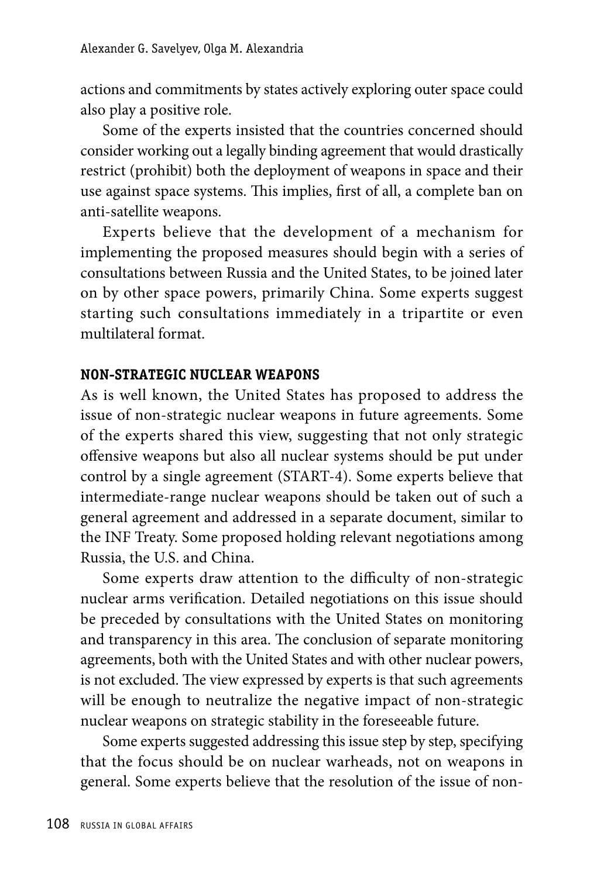actions and commitments by states actively exploring outer space could also play a positive role.

Some of the experts insisted that the countries concerned should consider working out a legally binding agreement that would drastically restrict (prohibit) both the deployment of weapons in space and their use against space systems. This implies, first of all, a complete ban on anti-satellite weapons.

Experts believe that the development of a mechanism for implementing the proposed measures should begin with a series of consultations between Russia and the United States, to be joined later on by other space powers, primarily China. Some experts suggest starting such consultations immediately in a tripartite or even multilateral format.

# **NON-STRATEGIC NUCLEAR WEAPONS**

As is well known, the United States has proposed to address the issue of non-strategic nuclear weapons in future agreements. Some of the experts shared this view, suggesting that not only strategic offensive weapons but also all nuclear systems should be put under control by a single agreement (START-4). Some experts believe that intermediate-range nuclear weapons should be taken out of such a general agreement and addressed in a separate document, similar to the INF Treaty. Some proposed holding relevant negotiations among Russia, the U.S. and China.

Some experts draw attention to the difficulty of non-strategic nuclear arms verification. Detailed negotiations on this issue should be preceded by consultations with the United States on monitoring and transparency in this area. The conclusion of separate monitoring agreements, both with the United States and with other nuclear powers, is not excluded. The view expressed by experts is that such agreements will be enough to neutralize the negative impact of non-strategic nuclear weapons on strategic stability in the foreseeable future.

Some experts suggested addressing this issue step by step, specifying that the focus should be on nuclear warheads, not on weapons in general. Some experts believe that the resolution of the issue of non-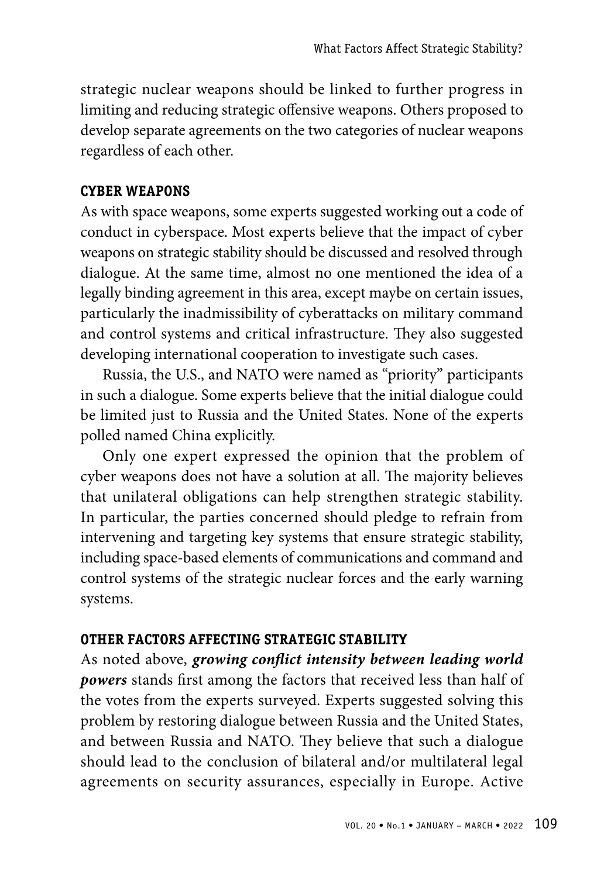strategic nuclear weapons should be linked to further progress in limiting and reducing strategic offensive weapons. Others proposed to develop separate agreements on the two categories of nuclear weapons regardless of each other.

## **CYBER WEAPONS**

As with space weapons, some experts suggested working out a code of conduct in cyberspace. Most experts believe that the impact of cyber weapons on strategic stability should be discussed and resolved through dialogue. At the same time, almost no one mentioned the idea of a legally binding agreement in this area, except maybe on certain issues, particularly the inadmissibility of cyberattacks on military command and control systems and critical infrastructure. They also suggested developing international cooperation to investigate such cases.

Russia, the U.S., and NATO were named as "priority" participants in such a dialogue. Some experts believe that the initial dialogue could be limited just to Russia and the United States. None of the experts polled named China explicitly.

Only one expert expressed the opinion that the problem of cyber weapons does not have a solution at all. The majority believes that unilateral obligations can help strengthen strategic stability. In particular, the parties concerned should pledge to refrain from intervening and targeting key systems that ensure strategic stability, including space-based elements of communications and command and control systems of the strategic nuclear forces and the early warning systems.

## **OTHER FACTORS AFFECTING STRATEGIC STABILITY**

As noted above, *growing conflict intensity between leading world powers* stands first among the factors that received less than half of the votes from the experts surveyed. Experts suggested solving this problem by restoring dialogue between Russia and the United States, and between Russia and NATO. They believe that such a dialogue should lead to the conclusion of bilateral and/or multilateral legal agreements on security assurances, especially in Europe. Active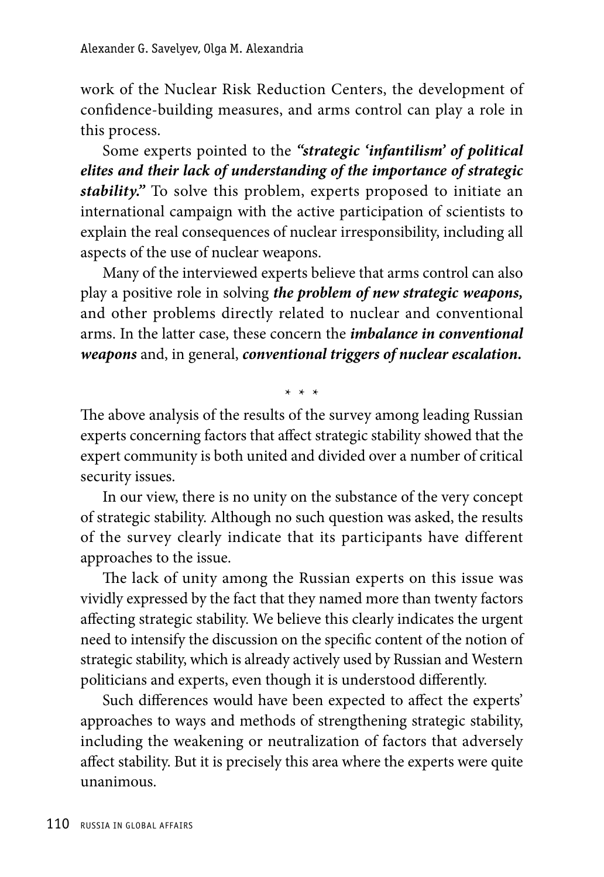work of the Nuclear Risk Reduction Centers, the development of confidence-building measures, and arms control can play a role in this process.

Some experts pointed to the *"strategic 'infantilism' of political elites and their lack of understanding of the importance of strategic stability."* To solve this problem, experts proposed to initiate an international campaign with the active participation of scientists to explain the real consequences of nuclear irresponsibility, including all aspects of the use of nuclear weapons.

Many of the interviewed experts believe that arms control can also play a positive role in solving *the problem of new strategic weapons,* and other problems directly related to nuclear and conventional arms. In the latter case, these concern the *imbalance in conventional weapons* and, in general, *conventional triggers of nuclear escalation.*

\* \* \*

The above analysis of the results of the survey among leading Russian experts concerning factors that affect strategic stability showed that the expert community is both united and divided over a number of critical security issues.

In our view, there is no unity on the substance of the very concept of strategic stability. Although no such question was asked, the results of the survey clearly indicate that its participants have different approaches to the issue.

The lack of unity among the Russian experts on this issue was vividly expressed by the fact that they named more than twenty factors affecting strategic stability. We believe this clearly indicates the urgent need to intensify the discussion on the specific content of the notion of strategic stability, which is already actively used by Russian and Western politicians and experts, even though it is understood differently.

Such differences would have been expected to affect the experts' approaches to ways and methods of strengthening strategic stability, including the weakening or neutralization of factors that adversely affect stability. But it is precisely this area where the experts were quite unanimous.